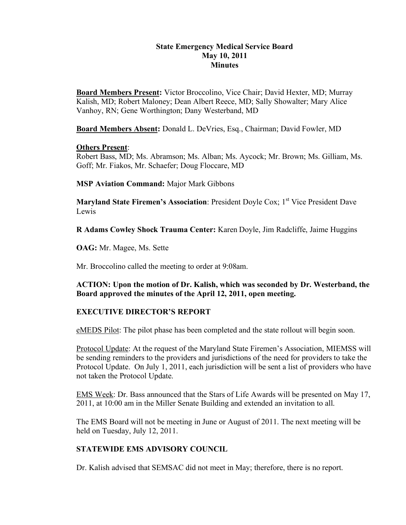#### **State Emergency Medical Service Board May 10, 2011 Minutes**

**Board Members Present:** Victor Broccolino, Vice Chair; David Hexter, MD; Murray Kalish, MD; Robert Maloney; Dean Albert Reece, MD; Sally Showalter; Mary Alice Vanhoy, RN; Gene Worthington; Dany Westerband, MD

**Board Members Absent:** Donald L. DeVries, Esq., Chairman; David Fowler, MD

#### **Others Present**:

Robert Bass, MD; Ms. Abramson; Ms. Alban; Ms. Aycock; Mr. Brown; Ms. Gilliam, Ms. Goff; Mr. Fiakos, Mr. Schaefer; Doug Floccare, MD

**MSP Aviation Command:** Major Mark Gibbons

**Maryland State Firemen's Association: President Doyle Cox; 1<sup>st</sup> Vice President Dave** Lewis

**R Adams Cowley Shock Trauma Center:** Karen Doyle, Jim Radcliffe, Jaime Huggins

**OAG:** Mr. Magee, Ms. Sette

Mr. Broccolino called the meeting to order at 9:08am.

**ACTION: Upon the motion of Dr. Kalish, which was seconded by Dr. Westerband, the Board approved the minutes of the April 12, 2011, open meeting.**

### **EXECUTIVE DIRECTOR'S REPORT**

eMEDS Pilot: The pilot phase has been completed and the state rollout will begin soon.

Protocol Update: At the request of the Maryland State Firemen's Association, MIEMSS will be sending reminders to the providers and jurisdictions of the need for providers to take the Protocol Update. On July 1, 2011, each jurisdiction will be sent a list of providers who have not taken the Protocol Update.

EMS Week: Dr. Bass announced that the Stars of Life Awards will be presented on May 17, 2011, at 10:00 am in the Miller Senate Building and extended an invitation to all.

The EMS Board will not be meeting in June or August of 2011. The next meeting will be held on Tuesday, July 12, 2011.

### **STATEWIDE EMS ADVISORY COUNCIL**

Dr. Kalish advised that SEMSAC did not meet in May; therefore, there is no report.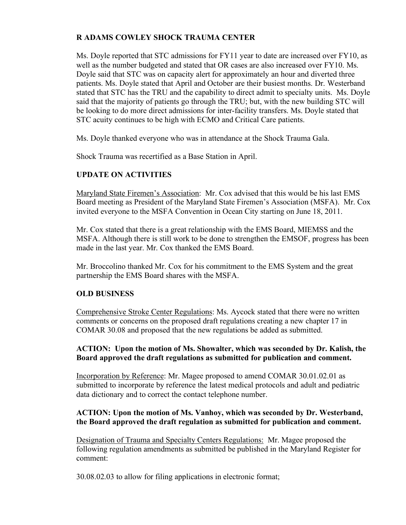## **R ADAMS COWLEY SHOCK TRAUMA CENTER**

Ms. Doyle reported that STC admissions for FY11 year to date are increased over FY10, as well as the number budgeted and stated that OR cases are also increased over FY10. Ms. Doyle said that STC was on capacity alert for approximately an hour and diverted three patients. Ms. Doyle stated that April and October are their busiest months. Dr. Westerband stated that STC has the TRU and the capability to direct admit to specialty units. Ms. Doyle said that the majority of patients go through the TRU; but, with the new building STC will be looking to do more direct admissions for inter-facility transfers. Ms. Doyle stated that STC acuity continues to be high with ECMO and Critical Care patients.

Ms. Doyle thanked everyone who was in attendance at the Shock Trauma Gala.

Shock Trauma was recertified as a Base Station in April.

## **UPDATE ON ACTIVITIES**

Maryland State Firemen's Association: Mr. Cox advised that this would be his last EMS Board meeting as President of the Maryland State Firemen's Association (MSFA). Mr. Cox invited everyone to the MSFA Convention in Ocean City starting on June 18, 2011.

Mr. Cox stated that there is a great relationship with the EMS Board, MIEMSS and the MSFA. Although there is still work to be done to strengthen the EMSOF, progress has been made in the last year. Mr. Cox thanked the EMS Board.

Mr. Broccolino thanked Mr. Cox for his commitment to the EMS System and the great partnership the EMS Board shares with the MSFA.

### **OLD BUSINESS**

Comprehensive Stroke Center Regulations: Ms. Aycock stated that there were no written comments or concerns on the proposed draft regulations creating a new chapter 17 in COMAR 30.08 and proposed that the new regulations be added as submitted.

### **ACTION: Upon the motion of Ms. Showalter, which was seconded by Dr. Kalish, the Board approved the draft regulations as submitted for publication and comment.**

Incorporation by Reference: Mr. Magee proposed to amend COMAR 30.01.02.01 as submitted to incorporate by reference the latest medical protocols and adult and pediatric data dictionary and to correct the contact telephone number.

#### **ACTION: Upon the motion of Ms. Vanhoy, which was seconded by Dr. Westerband, the Board approved the draft regulation as submitted for publication and comment.**

Designation of Trauma and Specialty Centers Regulations: Mr. Magee proposed the following regulation amendments as submitted be published in the Maryland Register for comment:

30.08.02.03 to allow for filing applications in electronic format;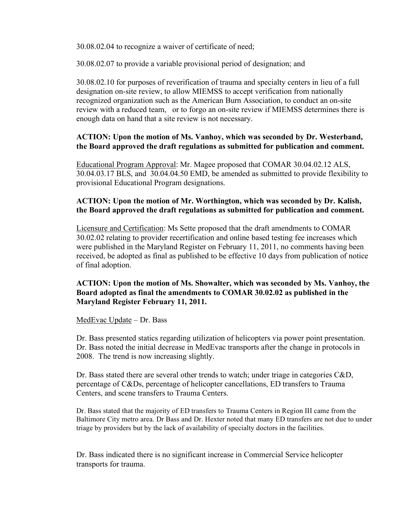30.08.02.04 to recognize a waiver of certificate of need;

30.08.02.07 to provide a variable provisional period of designation; and

30.08.02.10 for purposes of reverification of trauma and specialty centers in lieu of a full designation on-site review, to allow MIEMSS to accept verification from nationally recognized organization such as the American Burn Association, to conduct an on-site review with a reduced team, or to forgo an on-site review if MIEMSS determines there is enough data on hand that a site review is not necessary.

#### **ACTION: Upon the motion of Ms. Vanhoy, which was seconded by Dr. Westerband, the Board approved the draft regulations as submitted for publication and comment.**

Educational Program Approval: Mr. Magee proposed that COMAR 30.04.02.12 ALS, 30.04.03.17 BLS, and 30.04.04.50 EMD, be amended as submitted to provide flexibility to provisional Educational Program designations.

#### **ACTION: Upon the motion of Mr. Worthington, which was seconded by Dr. Kalish, the Board approved the draft regulations as submitted for publication and comment.**

Licensure and Certification: Ms Sette proposed that the draft amendments to COMAR 30.02.02 relating to provider recertification and online based testing fee increases which were published in the Maryland Register on February 11, 2011, no comments having been received, be adopted as final as published to be effective 10 days from publication of notice of final adoption.

#### **ACTION: Upon the motion of Ms. Showalter, which was seconded by Ms. Vanhoy, the Board adopted as final the amendments to COMAR 30.02.02 as published in the Maryland Register February 11, 2011.**

#### MedEvac Update – Dr. Bass

Dr. Bass presented statics regarding utilization of helicopters via power point presentation. Dr. Bass noted the initial decrease in MedEvac transports after the change in protocols in 2008. The trend is now increasing slightly.

Dr. Bass stated there are several other trends to watch; under triage in categories C&D, percentage of C&Ds, percentage of helicopter cancellations, ED transfers to Trauma Centers, and scene transfers to Trauma Centers.

Dr. Bass stated that the majority of ED transfers to Trauma Centers in Region III came from the Baltimore City metro area. Dr Bass and Dr. Hexter noted that many ED transfers are not due to under triage by providers but by the lack of availability of specialty doctors in the facilities.

Dr. Bass indicated there is no significant increase in Commercial Service helicopter transports for trauma.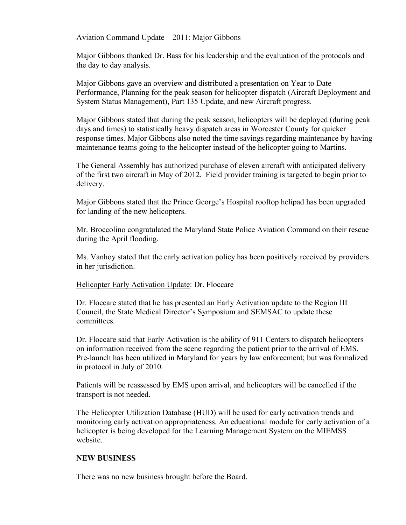#### Aviation Command Update – 2011: Major Gibbons

Major Gibbons thanked Dr. Bass for his leadership and the evaluation of the protocols and the day to day analysis.

Major Gibbons gave an overview and distributed a presentation on Year to Date Performance, Planning for the peak season for helicopter dispatch (Aircraft Deployment and System Status Management), Part 135 Update, and new Aircraft progress.

Major Gibbons stated that during the peak season, helicopters will be deployed (during peak days and times) to statistically heavy dispatch areas in Worcester County for quicker response times. Major Gibbons also noted the time savings regarding maintenance by having maintenance teams going to the helicopter instead of the helicopter going to Martins.

The General Assembly has authorized purchase of eleven aircraft with anticipated delivery of the first two aircraft in May of 2012. Field provider training is targeted to begin prior to delivery.

Major Gibbons stated that the Prince George's Hospital rooftop helipad has been upgraded for landing of the new helicopters.

Mr. Broccolino congratulated the Maryland State Police Aviation Command on their rescue during the April flooding.

Ms. Vanhoy stated that the early activation policy has been positively received by providers in her jurisdiction.

#### Helicopter Early Activation Update: Dr. Floccare

Dr. Floccare stated that he has presented an Early Activation update to the Region III Council, the State Medical Director's Symposium and SEMSAC to update these committees.

Dr. Floccare said that Early Activation is the ability of 911 Centers to dispatch helicopters on information received from the scene regarding the patient prior to the arrival of EMS. Pre-launch has been utilized in Maryland for years by law enforcement; but was formalized in protocol in July of 2010.

Patients will be reassessed by EMS upon arrival, and helicopters will be cancelled if the transport is not needed.

The Helicopter Utilization Database (HUD) will be used for early activation trends and monitoring early activation appropriateness. An educational module for early activation of a helicopter is being developed for the Learning Management System on the MIEMSS website.

#### **NEW BUSINESS**

There was no new business brought before the Board.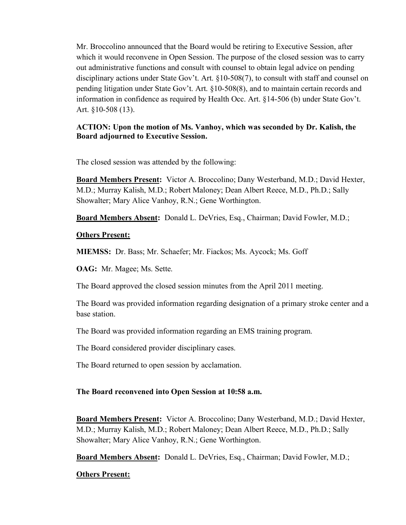Mr. Broccolino announced that the Board would be retiring to Executive Session, after which it would reconvene in Open Session. The purpose of the closed session was to carry out administrative functions and consult with counsel to obtain legal advice on pending disciplinary actions under State Gov't. Art. §10-508(7), to consult with staff and counsel on pending litigation under State Gov't. Art. §10-508(8), and to maintain certain records and information in confidence as required by Health Occ. Art. §14-506 (b) under State Gov't. Art. §10-508 (13).

## **ACTION: Upon the motion of Ms. Vanhoy, which was seconded by Dr. Kalish, the Board adjourned to Executive Session.**

The closed session was attended by the following:

**Board Members Present:** Victor A. Broccolino; Dany Westerband, M.D.; David Hexter, M.D.; Murray Kalish, M.D.; Robert Maloney; Dean Albert Reece, M.D., Ph.D.; Sally Showalter; Mary Alice Vanhoy, R.N.; Gene Worthington.

**Board Members Absent:** Donald L. DeVries, Esq., Chairman; David Fowler, M.D.;

## **Others Present:**

**MIEMSS:** Dr. Bass; Mr. Schaefer; Mr. Fiackos; Ms. Aycock; Ms. Goff

**OAG:** Mr. Magee; Ms. Sette.

The Board approved the closed session minutes from the April 2011 meeting.

The Board was provided information regarding designation of a primary stroke center and a base station.

The Board was provided information regarding an EMS training program.

The Board considered provider disciplinary cases.

The Board returned to open session by acclamation.

# **The Board reconvened into Open Session at 10:58 a.m.**

**Board Members Present:** Victor A. Broccolino; Dany Westerband, M.D.; David Hexter, M.D.; Murray Kalish, M.D.; Robert Maloney; Dean Albert Reece, M.D., Ph.D.; Sally Showalter; Mary Alice Vanhoy, R.N.; Gene Worthington.

**Board Members Absent:** Donald L. DeVries, Esq., Chairman; David Fowler, M.D.;

# **Others Present:**